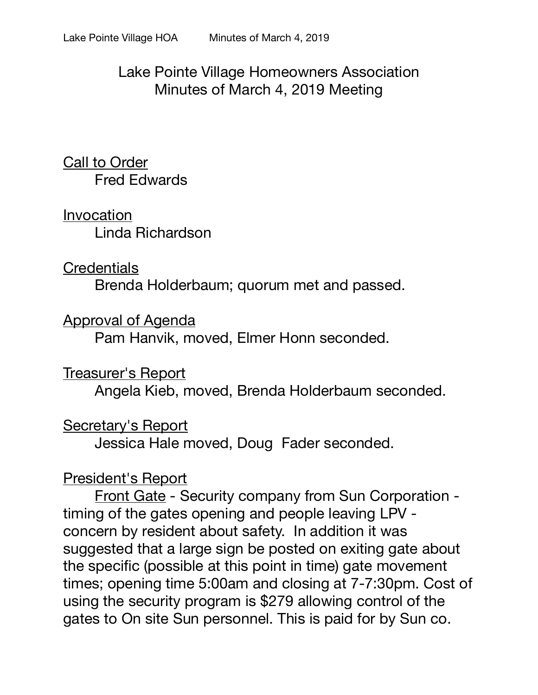### Lake Pointe Village Homeowners Association Minutes of March 4, 2019 Meeting

Call to Order Fred Edwards

Invocation Linda Richardson

#### **Credentials**

Brenda Holderbaum; quorum met and passed.

Approval of Agenda

Pam Hanvik, moved, Elmer Honn seconded.

### Treasurer's Report

Angela Kieb, moved, Brenda Holderbaum seconded.

### Secretary's Report

Jessica Hale moved, Doug Fader seconded.

### President's Report

Front Gate - Security company from Sun Corporation timing of the gates opening and people leaving LPV concern by resident about safety. In addition it was suggested that a large sign be posted on exiting gate about the specific (possible at this point in time) gate movement times; opening time 5:00am and closing at 7-7:30pm. Cost of using the security program is \$279 allowing control of the gates to On site Sun personnel. This is paid for by Sun co.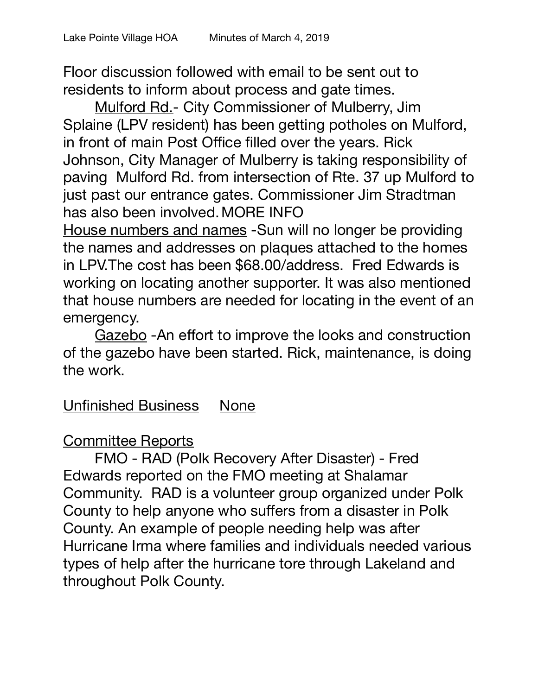Floor discussion followed with email to be sent out to residents to inform about process and gate times.

Mulford Rd.- City Commissioner of Mulberry, Jim Splaine (LPV resident) has been getting potholes on Mulford, in front of main Post Office filled over the years. Rick Johnson, City Manager of Mulberry is taking responsibility of paving Mulford Rd. from intersection of Rte. 37 up Mulford to just past our entrance gates. Commissioner Jim Stradtman has also been involved.MORE INFO

House numbers and names -Sun will no longer be providing the names and addresses on plaques attached to the homes in LPV.The cost has been \$68.00/address. Fred Edwards is working on locating another supporter. It was also mentioned that house numbers are needed for locating in the event of an emergency.

Gazebo -An effort to improve the looks and construction of the gazebo have been started. Rick, maintenance, is doing the work.

# Unfinished Business None

# Committee Reports

FMO - RAD (Polk Recovery After Disaster) - Fred Edwards reported on the FMO meeting at Shalamar Community. RAD is a volunteer group organized under Polk County to help anyone who suffers from a disaster in Polk County. An example of people needing help was after Hurricane Irma where families and individuals needed various types of help after the hurricane tore through Lakeland and throughout Polk County.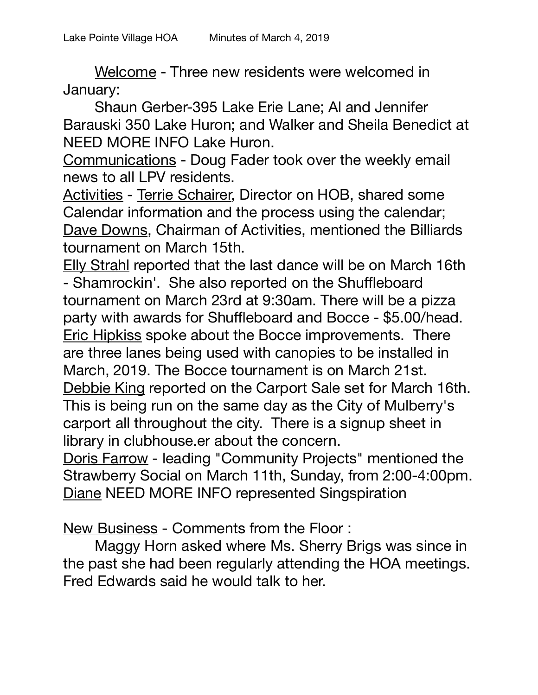Welcome - Three new residents were welcomed in January:

Shaun Gerber-395 Lake Erie Lane; Al and Jennifer Barauski 350 Lake Huron; and Walker and Sheila Benedict at NEED MORE INFO Lake Huron.

Communications - Doug Fader took over the weekly email news to all LPV residents.

Activities - Terrie Schairer, Director on HOB, shared some Calendar information and the process using the calendar; Dave Downs, Chairman of Activities, mentioned the Billiards tournament on March 15th.

Elly Strahl reported that the last dance will be on March 16th - Shamrockin'. She also reported on the Shuffleboard tournament on March 23rd at 9:30am. There will be a pizza party with awards for Shuffleboard and Bocce - \$5.00/head. Eric Hipkiss spoke about the Bocce improvements. There are three lanes being used with canopies to be installed in March, 2019. The Bocce tournament is on March 21st. Debbie King reported on the Carport Sale set for March 16th. This is being run on the same day as the City of Mulberry's carport all throughout the city. There is a signup sheet in library in clubhouse.er about the concern.

Doris Farrow - leading "Community Projects" mentioned the Strawberry Social on March 11th, Sunday, from 2:00-4:00pm. Diane NEED MORE INFO represented Singspiration

New Business - Comments from the Floor :

Maggy Horn asked where Ms. Sherry Brigs was since in the past she had been regularly attending the HOA meetings. Fred Edwards said he would talk to her.